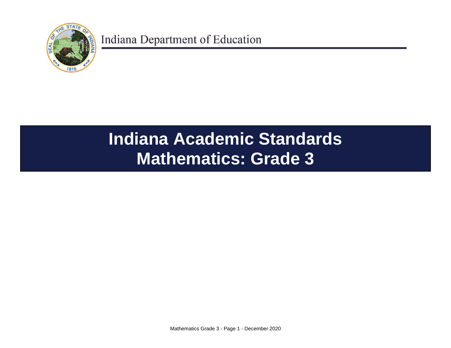

# **Indiana Academic Standards Mathematics: Grade 3**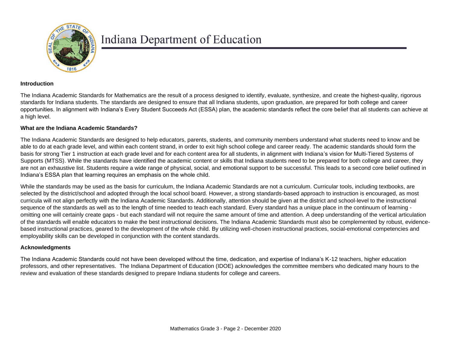

#### **Introduction**

The Indiana Academic Standards for Mathematics are the result of a process designed to identify, evaluate, synthesize, and create the highest-quality, rigorous standards for Indiana students. The standards are designed to ensure that all Indiana students, upon graduation, are prepared for both college and career opportunities. In alignment with Indiana's Every Student Succeeds Act (ESSA) plan, the academic standards reflect the core belief that all students can achieve at a high level.

#### **What are the Indiana Academic Standards?**

The Indiana Academic Standards are designed to help educators, parents, students, and community members understand what students need to know and be able to do at each grade level, and within each content strand, in order to exit high school college and career ready. The academic standards should form the basis for strong Tier 1 instruction at each grade level and for each content area for all students, in alignment with Indiana's vision for Multi-Tiered Systems of Supports (MTSS). While the standards have identified the academic content or skills that Indiana students need to be prepared for both college and career, they are not an exhaustive list. Students require a wide range of physical, social, and emotional support to be successful. This leads to a second core belief outlined in Indiana's ESSA plan that learning requires an emphasis on the whole child.

While the standards may be used as the basis for curriculum, the Indiana Academic Standards are not a curriculum. Curricular tools, including textbooks, are selected by the district/school and adopted through the local school board. However, a strong standards-based approach to instruction is encouraged, as most curricula will not align perfectly with the Indiana Academic Standards. Additionally, attention should be given at the district and school-level to the instructional sequence of the standards as well as to the length of time needed to teach each standard. Every standard has a unique place in the continuum of learning omitting one will certainly create gaps - but each standard will not require the same amount of time and attention. A deep understanding of the vertical articulation of the standards will enable educators to make the best instructional decisions. The Indiana Academic Standards must also be complemented by robust, evidencebased instructional practices, geared to the development of the whole child. By utilizing well-chosen instructional practices, social-emotional competencies and employability skills can be developed in conjunction with the content standards.

#### **Acknowledgments**

The Indiana Academic Standards could not have been developed without the time, dedication, and expertise of Indiana's K-12 teachers, higher education professors, and other representatives. The Indiana Department of Education (IDOE) acknowledges the committee members who dedicated many hours to the review and evaluation of these standards designed to prepare Indiana students for college and careers.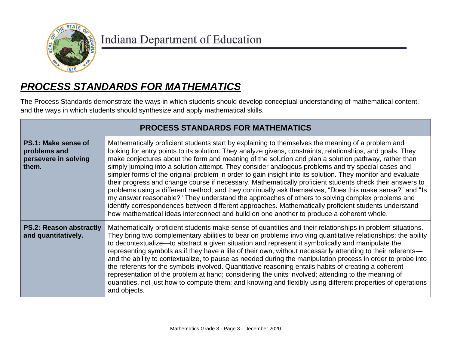

## *PROCESS STANDARDS FOR MATHEMATICS*

The Process Standards demonstrate the ways in which students should develop conceptual understanding of mathematical content, and the ways in which students should synthesize and apply mathematical skills.

| <b>PROCESS STANDARDS FOR MATHEMATICS</b>                             |                                                                                                                                                                                                                                                                                                                                                                                                                                                                                                                                                                                                                                                                                                                                                                                                                                                                                                                                                                                                                                                                             |
|----------------------------------------------------------------------|-----------------------------------------------------------------------------------------------------------------------------------------------------------------------------------------------------------------------------------------------------------------------------------------------------------------------------------------------------------------------------------------------------------------------------------------------------------------------------------------------------------------------------------------------------------------------------------------------------------------------------------------------------------------------------------------------------------------------------------------------------------------------------------------------------------------------------------------------------------------------------------------------------------------------------------------------------------------------------------------------------------------------------------------------------------------------------|
| PS.1: Make sense of<br>problems and<br>persevere in solving<br>them. | Mathematically proficient students start by explaining to themselves the meaning of a problem and<br>looking for entry points to its solution. They analyze givens, constraints, relationships, and goals. They<br>make conjectures about the form and meaning of the solution and plan a solution pathway, rather than<br>simply jumping into a solution attempt. They consider analogous problems and try special cases and<br>simpler forms of the original problem in order to gain insight into its solution. They monitor and evaluate<br>their progress and change course if necessary. Mathematically proficient students check their answers to<br>problems using a different method, and they continually ask themselves, "Does this make sense?" and "Is<br>my answer reasonable?" They understand the approaches of others to solving complex problems and<br>identify correspondences between different approaches. Mathematically proficient students understand<br>how mathematical ideas interconnect and build on one another to produce a coherent whole. |
| <b>PS.2: Reason abstractly</b><br>and quantitatively.                | Mathematically proficient students make sense of quantities and their relationships in problem situations.<br>They bring two complementary abilities to bear on problems involving quantitative relationships: the ability<br>to decontextualize—to abstract a given situation and represent it symbolically and manipulate the<br>representing symbols as if they have a life of their own, without necessarily attending to their referents—<br>and the ability to contextualize, to pause as needed during the manipulation process in order to probe into<br>the referents for the symbols involved. Quantitative reasoning entails habits of creating a coherent<br>representation of the problem at hand; considering the units involved; attending to the meaning of<br>quantities, not just how to compute them; and knowing and flexibly using different properties of operations<br>and objects.                                                                                                                                                                  |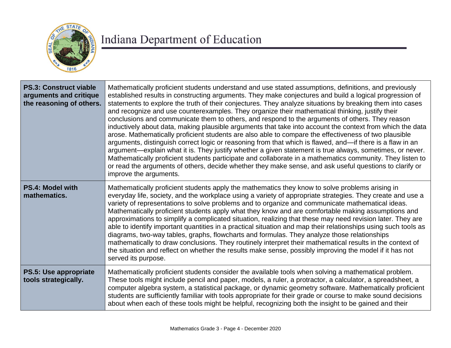

| <b>PS.3: Construct viable</b><br>arguments and critique<br>the reasoning of others. | Mathematically proficient students understand and use stated assumptions, definitions, and previously<br>established results in constructing arguments. They make conjectures and build a logical progression of<br>statements to explore the truth of their conjectures. They analyze situations by breaking them into cases<br>and recognize and use counterexamples. They organize their mathematical thinking, justify their<br>conclusions and communicate them to others, and respond to the arguments of others. They reason<br>inductively about data, making plausible arguments that take into account the context from which the data<br>arose. Mathematically proficient students are also able to compare the effectiveness of two plausible<br>arguments, distinguish correct logic or reasoning from that which is flawed, and—if there is a flaw in an<br>argument—explain what it is. They justify whether a given statement is true always, sometimes, or never.<br>Mathematically proficient students participate and collaborate in a mathematics community. They listen to<br>or read the arguments of others, decide whether they make sense, and ask useful questions to clarify or<br>improve the arguments. |
|-------------------------------------------------------------------------------------|--------------------------------------------------------------------------------------------------------------------------------------------------------------------------------------------------------------------------------------------------------------------------------------------------------------------------------------------------------------------------------------------------------------------------------------------------------------------------------------------------------------------------------------------------------------------------------------------------------------------------------------------------------------------------------------------------------------------------------------------------------------------------------------------------------------------------------------------------------------------------------------------------------------------------------------------------------------------------------------------------------------------------------------------------------------------------------------------------------------------------------------------------------------------------------------------------------------------------------------|
| <b>PS.4: Model with</b><br>mathematics.                                             | Mathematically proficient students apply the mathematics they know to solve problems arising in<br>everyday life, society, and the workplace using a variety of appropriate strategies. They create and use a<br>variety of representations to solve problems and to organize and communicate mathematical ideas.<br>Mathematically proficient students apply what they know and are comfortable making assumptions and<br>approximations to simplify a complicated situation, realizing that these may need revision later. They are<br>able to identify important quantities in a practical situation and map their relationships using such tools as<br>diagrams, two-way tables, graphs, flowcharts and formulas. They analyze those relationships<br>mathematically to draw conclusions. They routinely interpret their mathematical results in the context of<br>the situation and reflect on whether the results make sense, possibly improving the model if it has not<br>served its purpose.                                                                                                                                                                                                                                |
| PS.5: Use appropriate<br>tools strategically.                                       | Mathematically proficient students consider the available tools when solving a mathematical problem.<br>These tools might include pencil and paper, models, a ruler, a protractor, a calculator, a spreadsheet, a<br>computer algebra system, a statistical package, or dynamic geometry software. Mathematically proficient<br>students are sufficiently familiar with tools appropriate for their grade or course to make sound decisions<br>about when each of these tools might be helpful, recognizing both the insight to be gained and their                                                                                                                                                                                                                                                                                                                                                                                                                                                                                                                                                                                                                                                                                  |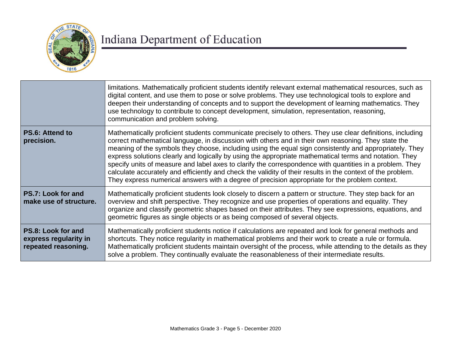

|                                                                    | limitations. Mathematically proficient students identify relevant external mathematical resources, such as<br>digital content, and use them to pose or solve problems. They use technological tools to explore and<br>deepen their understanding of concepts and to support the development of learning mathematics. They<br>use technology to contribute to concept development, simulation, representation, reasoning,<br>communication and problem solving.                                                                                                                                                                                                                                                                                                     |
|--------------------------------------------------------------------|--------------------------------------------------------------------------------------------------------------------------------------------------------------------------------------------------------------------------------------------------------------------------------------------------------------------------------------------------------------------------------------------------------------------------------------------------------------------------------------------------------------------------------------------------------------------------------------------------------------------------------------------------------------------------------------------------------------------------------------------------------------------|
| <b>PS.6: Attend to</b><br>precision.                               | Mathematically proficient students communicate precisely to others. They use clear definitions, including<br>correct mathematical language, in discussion with others and in their own reasoning. They state the<br>meaning of the symbols they choose, including using the equal sign consistently and appropriately. They<br>express solutions clearly and logically by using the appropriate mathematical terms and notation. They<br>specify units of measure and label axes to clarify the correspondence with quantities in a problem. They<br>calculate accurately and efficiently and check the validity of their results in the context of the problem.<br>They express numerical answers with a degree of precision appropriate for the problem context. |
| PS.7: Look for and<br>make use of structure.                       | Mathematically proficient students look closely to discern a pattern or structure. They step back for an<br>overview and shift perspective. They recognize and use properties of operations and equality. They<br>organize and classify geometric shapes based on their attributes. They see expressions, equations, and<br>geometric figures as single objects or as being composed of several objects.                                                                                                                                                                                                                                                                                                                                                           |
| PS.8: Look for and<br>express regularity in<br>repeated reasoning. | Mathematically proficient students notice if calculations are repeated and look for general methods and<br>shortcuts. They notice regularity in mathematical problems and their work to create a rule or formula.<br>Mathematically proficient students maintain oversight of the process, while attending to the details as they<br>solve a problem. They continually evaluate the reasonableness of their intermediate results.                                                                                                                                                                                                                                                                                                                                  |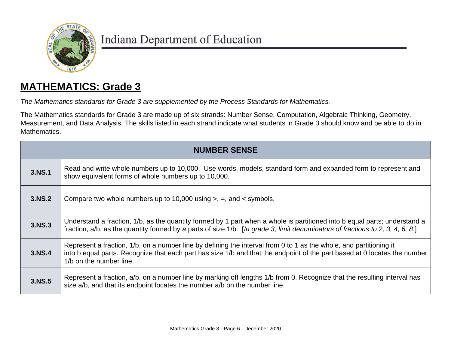

# **Indiana Department of Education**

### **MATHEMATICS: Grade 3**

*The Mathematics standards for Grade 3 are supplemented by the Process Standards for Mathematics.*

The Mathematics standards for Grade 3 are made up of six strands: Number Sense, Computation, Algebraic Thinking, Geometry, Measurement, and Data Analysis. The skills listed in each strand indicate what students in Grade 3 should know and be able to do in Mathematics.

| <b>NUMBER SENSE</b> |                                                                                                                                                                                                                                                                            |
|---------------------|----------------------------------------------------------------------------------------------------------------------------------------------------------------------------------------------------------------------------------------------------------------------------|
| 3.NS.1              | Read and write whole numbers up to 10,000. Use words, models, standard form and expanded form to represent and<br>show equivalent forms of whole numbers up to 10,000.                                                                                                     |
| 3.NS.2              | Compare two whole numbers up to 10,000 using $>$ , $=$ , and $<$ symbols.                                                                                                                                                                                                  |
| 3.NS.3              | Understand a fraction, 1/b, as the quantity formed by 1 part when a whole is partitioned into b equal parts; understand a<br>fraction, a/b, as the quantity formed by a parts of size 1/b. [In grade 3, limit denominators of fractions to 2, 3, 4, 6, 8.]                 |
| 3.NS.4              | Represent a fraction, 1/b, on a number line by defining the interval from 0 to 1 as the whole, and partitioning it<br>into b equal parts. Recognize that each part has size 1/b and that the endpoint of the part based at 0 locates the number<br>1/b on the number line. |
| 3.NS.5              | Represent a fraction, a/b, on a number line by marking off lengths 1/b from 0. Recognize that the resulting interval has<br>size a/b, and that its endpoint locates the number a/b on the number line.                                                                     |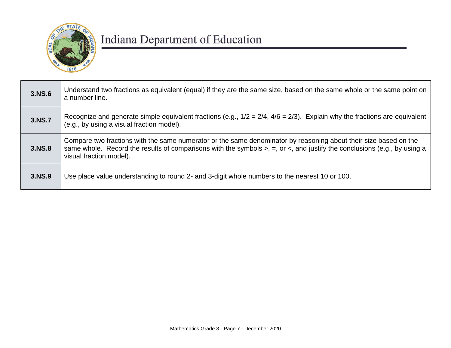

| 3.NS.6 | Understand two fractions as equivalent (equal) if they are the same size, based on the same whole or the same point on<br>a number line.                                                                                                                                           |
|--------|------------------------------------------------------------------------------------------------------------------------------------------------------------------------------------------------------------------------------------------------------------------------------------|
| 3.NS.7 | Recognize and generate simple equivalent fractions (e.g., $1/2 = 2/4$ , $4/6 = 2/3$ ). Explain why the fractions are equivalent<br>(e.g., by using a visual fraction model).                                                                                                       |
| 3.NS.8 | Compare two fractions with the same numerator or the same denominator by reasoning about their size based on the<br>same whole. Record the results of comparisons with the symbols $>$ , $=$ , or $\lt$ , and justify the conclusions (e.g., by using a<br>visual fraction model). |
| 3.NS.9 | Use place value understanding to round 2- and 3-digit whole numbers to the nearest 10 or 100.                                                                                                                                                                                      |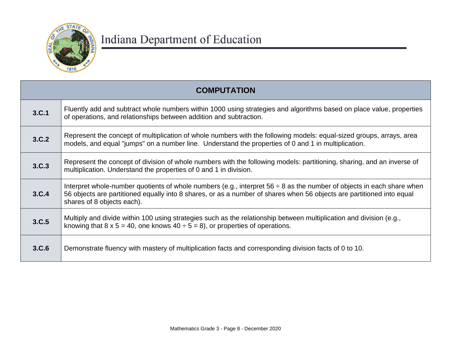

| <b>COMPUTATION</b> |                                                                                                                                                                                                                                                                                   |
|--------------------|-----------------------------------------------------------------------------------------------------------------------------------------------------------------------------------------------------------------------------------------------------------------------------------|
| 3.C.1              | Fluently add and subtract whole numbers within 1000 using strategies and algorithms based on place value, properties<br>of operations, and relationships between addition and subtraction.                                                                                        |
| 3.C.2              | Represent the concept of multiplication of whole numbers with the following models: equal-sized groups, arrays, area<br>models, and equal "jumps" on a number line. Understand the properties of 0 and 1 in multiplication.                                                       |
| 3.C.3              | Represent the concept of division of whole numbers with the following models: partitioning, sharing, and an inverse of<br>multiplication. Understand the properties of 0 and 1 in division.                                                                                       |
| 3.C.4              | Interpret whole-number quotients of whole numbers (e.g., interpret $56 \div 8$ as the number of objects in each share when<br>56 objects are partitioned equally into 8 shares, or as a number of shares when 56 objects are partitioned into equal<br>shares of 8 objects each). |
| 3.C.5              | Multiply and divide within 100 using strategies such as the relationship between multiplication and division (e.g.,<br>knowing that 8 x 5 = 40, one knows $40 \div 5 = 8$ ), or properties of operations.                                                                         |
| 3.C.6              | Demonstrate fluency with mastery of multiplication facts and corresponding division facts of 0 to 10.                                                                                                                                                                             |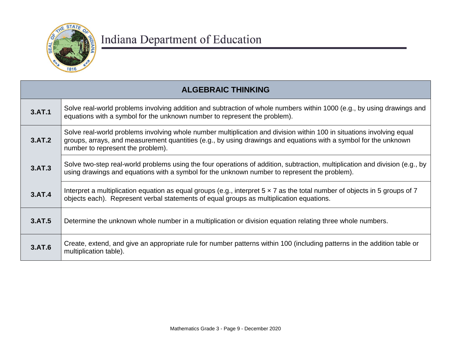

| <b>ALGEBRAIC THINKING</b> |                                                                                                                                                                                                                                                                               |
|---------------------------|-------------------------------------------------------------------------------------------------------------------------------------------------------------------------------------------------------------------------------------------------------------------------------|
| 3.AT.1                    | Solve real-world problems involving addition and subtraction of whole numbers within 1000 (e.g., by using drawings and<br>equations with a symbol for the unknown number to represent the problem).                                                                           |
| 3.AT.2                    | Solve real-world problems involving whole number multiplication and division within 100 in situations involving equal<br>groups, arrays, and measurement quantities (e.g., by using drawings and equations with a symbol for the unknown<br>number to represent the problem). |
| 3.AT.3                    | Solve two-step real-world problems using the four operations of addition, subtraction, multiplication and division (e.g., by<br>using drawings and equations with a symbol for the unknown number to represent the problem).                                                  |
| 3.AT.4                    | Interpret a multiplication equation as equal groups (e.g., interpret $5 \times 7$ as the total number of objects in 5 groups of 7<br>objects each). Represent verbal statements of equal groups as multiplication equations.                                                  |
| 3.AT.5                    | Determine the unknown whole number in a multiplication or division equation relating three whole numbers.                                                                                                                                                                     |
| 3.AT.6                    | Create, extend, and give an appropriate rule for number patterns within 100 (including patterns in the addition table or<br>multiplication table).                                                                                                                            |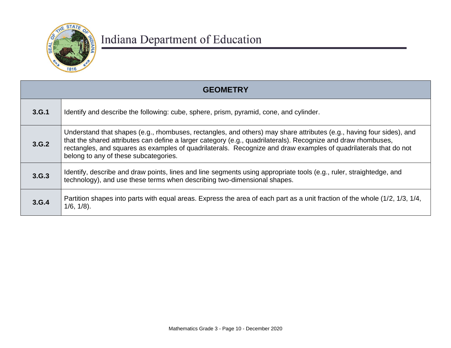

| <b>GEOMETRY</b> |                                                                                                                                                                                                                                                                                                                                                                                                    |
|-----------------|----------------------------------------------------------------------------------------------------------------------------------------------------------------------------------------------------------------------------------------------------------------------------------------------------------------------------------------------------------------------------------------------------|
| 3.G.1           | Identify and describe the following: cube, sphere, prism, pyramid, cone, and cylinder.                                                                                                                                                                                                                                                                                                             |
| 3.G.2           | Understand that shapes (e.g., rhombuses, rectangles, and others) may share attributes (e.g., having four sides), and<br>that the shared attributes can define a larger category (e.g., quadrilaterals). Recognize and draw rhombuses,<br>rectangles, and squares as examples of quadrilaterals. Recognize and draw examples of quadrilaterals that do not<br>belong to any of these subcategories. |
| 3.G.3           | Identify, describe and draw points, lines and line segments using appropriate tools (e.g., ruler, straightedge, and<br>technology), and use these terms when describing two-dimensional shapes.                                                                                                                                                                                                    |
| 3.G.4           | Partition shapes into parts with equal areas. Express the area of each part as a unit fraction of the whole (1/2, 1/3, 1/4,<br>$1/6$ , $1/8$ ).                                                                                                                                                                                                                                                    |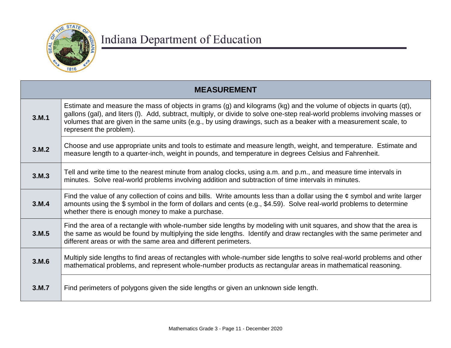

| <b>MEASUREMENT</b> |                                                                                                                                                                                                                                                                                                                                                                                                  |
|--------------------|--------------------------------------------------------------------------------------------------------------------------------------------------------------------------------------------------------------------------------------------------------------------------------------------------------------------------------------------------------------------------------------------------|
| 3.M.1              | Estimate and measure the mass of objects in grams (g) and kilograms (kg) and the volume of objects in quarts (qt),<br>gallons (gal), and liters (I). Add, subtract, multiply, or divide to solve one-step real-world problems involving masses or<br>volumes that are given in the same units (e.g., by using drawings, such as a beaker with a measurement scale, to<br>represent the problem). |
| 3.M.2              | Choose and use appropriate units and tools to estimate and measure length, weight, and temperature. Estimate and<br>measure length to a quarter-inch, weight in pounds, and temperature in degrees Celsius and Fahrenheit.                                                                                                                                                                       |
| 3.M.3              | Tell and write time to the nearest minute from analog clocks, using a.m. and p.m., and measure time intervals in<br>minutes. Solve real-world problems involving addition and subtraction of time intervals in minutes.                                                                                                                                                                          |
| 3.M.4              | Find the value of any collection of coins and bills. Write amounts less than a dollar using the $\phi$ symbol and write larger<br>amounts using the \$ symbol in the form of dollars and cents (e.g., \$4.59). Solve real-world problems to determine<br>whether there is enough money to make a purchase.                                                                                       |
| 3.M.5              | Find the area of a rectangle with whole-number side lengths by modeling with unit squares, and show that the area is<br>the same as would be found by multiplying the side lengths. Identify and draw rectangles with the same perimeter and<br>different areas or with the same area and different perimeters.                                                                                  |
| 3.M.6              | Multiply side lengths to find areas of rectangles with whole-number side lengths to solve real-world problems and other<br>mathematical problems, and represent whole-number products as rectangular areas in mathematical reasoning.                                                                                                                                                            |
| 3.M.7              | Find perimeters of polygons given the side lengths or given an unknown side length.                                                                                                                                                                                                                                                                                                              |